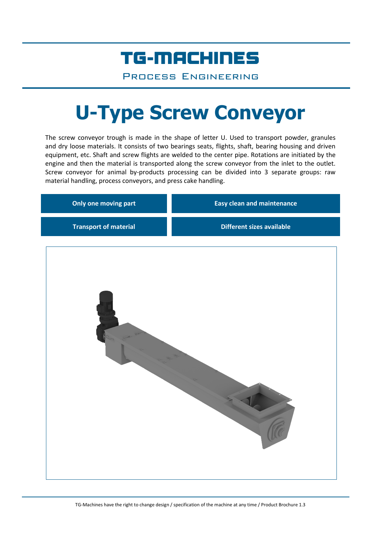## TG-MACHINES

Process Engineering

# **U-Type Screw Conveyor**

The screw conveyor trough is made in the shape of letter U. Used to transport powder, granules and dry loose materials. It consists of two bearings seats, flights, shaft, bearing housing and driven equipment, etc. Shaft and screw flights are welded to the center pipe. Rotations are initiated by the engine and then the material is transported along the screw conveyor from the inlet to the outlet. Screw conveyor for animal by-products processing can be divided into 3 separate groups: raw material handling, process conveyors, and press cake handling.